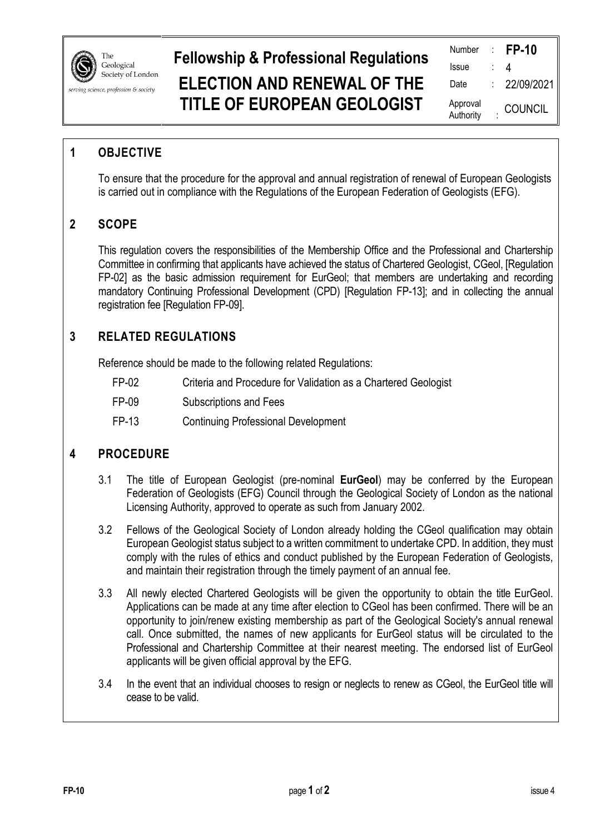

# **Fellowship & Professional Regulations**

# **ELECTION AND RENEWAL OF THE TITLE OF EUROPEAN GEOLOGIST**

| Number                | <b>FP-10</b> |
|-----------------------|--------------|
| <b>Issue</b>          | 4            |
| Date                  | 22/09/2021   |
| Approval<br>Authority | COUNCIL      |

# **1 OBJECTIVE**

To ensure that the procedure for the approval and annual registration of renewal of European Geologists is carried out in compliance with the Regulations of the European Federation of Geologists (EFG).

# **2 SCOPE**

This regulation covers the responsibilities of the Membership Office and the Professional and Chartership Committee in confirming that applicants have achieved the status of Chartered Geologist, CGeol, [Regulation FP-02] as the basic admission requirement for EurGeol; that members are undertaking and recording mandatory Continuing Professional Development (CPD) [Regulation FP-13]; and in collecting the annual registration fee [Regulation FP-09].

## **3 RELATED REGULATIONS**

Reference should be made to the following related Regulations:

- FP-02 Criteria and Procedure for Validation as a Chartered Geologist
- FP-09 Subscriptions and Fees
- FP-13 Continuing Professional Development

## **4 PROCEDURE**

- 3.1 The title of European Geologist (pre-nominal **EurGeol**) may be conferred by the European Federation of Geologists (EFG) Council through the Geological Society of London as the national Licensing Authority, approved to operate as such from January 2002.
- 3.2 Fellows of the Geological Society of London already holding the CGeol qualification may obtain European Geologist status subject to a written commitment to undertake CPD. In addition, they must comply with the rules of ethics and conduct published by the European Federation of Geologists, and maintain their registration through the timely payment of an annual fee.
- 3.3 All newly elected Chartered Geologists will be given the opportunity to obtain the title EurGeol. Applications can be made at any time after election to CGeol has been confirmed. There will be an opportunity to join/renew existing membership as part of the Geological Society's annual renewal call. Once submitted, the names of new applicants for EurGeol status will be circulated to the Professional and Chartership Committee at their nearest meeting. The endorsed list of EurGeol applicants will be given official approval by the EFG.
- 3.4 In the event that an individual chooses to resign or neglects to renew as CGeol, the EurGeol title will cease to be valid.